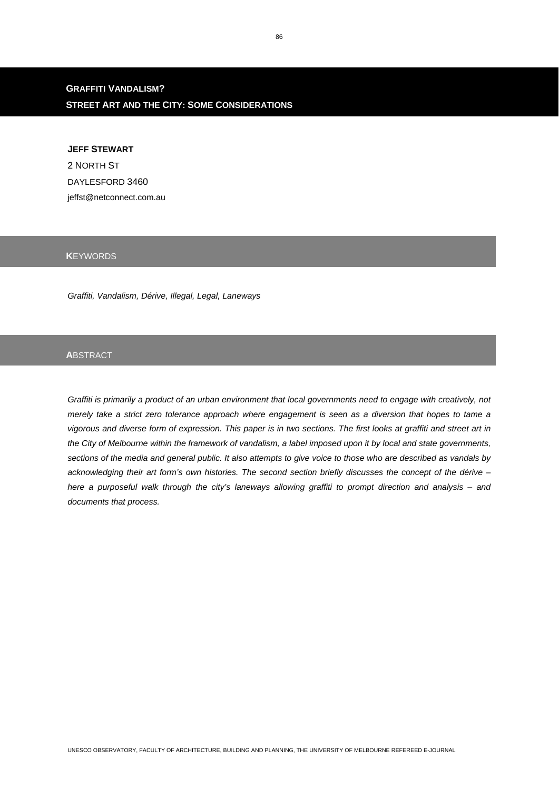# **GRAFFITI VANDALISM? STREET ART AND THE CITY: SOME CONSIDERATIONS**

**JEFF STEWART**  2 NORTH ST DAYLESFORD 3460 jeffst@netconnect.com.au

# **K**EYWORDS

*Graffiti, Vandalism, Dérive, Illegal, Legal, Laneways* 

### **A**BSTRACT

*Graffiti is primarily a product of an urban environment that local governments need to engage with creatively, not merely take a strict zero tolerance approach where engagement is seen as a diversion that hopes to tame a vigorous and diverse form of expression. This paper is in two sections. The first looks at graffiti and street art in the City of Melbourne within the framework of vandalism, a label imposed upon it by local and state governments, sections of the media and general public. It also attempts to give voice to those who are described as vandals by acknowledging their art form's own histories. The second section briefly discusses the concept of the dérive – here a purposeful walk through the city's laneways allowing graffiti to prompt direction and analysis – and documents that process.*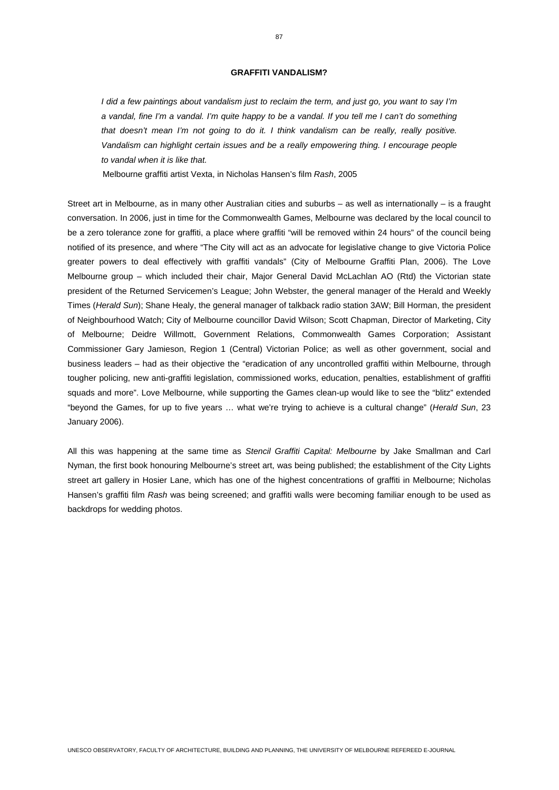#### **GRAFFITI VANDALISM?**

*I did a few paintings about vandalism just to reclaim the term, and just go, you want to say I'm a vandal, fine I'm a vandal. I'm quite happy to be a vandal. If you tell me I can't do something that doesn't mean I'm not going to do it. I think vandalism can be really, really positive. Vandalism can highlight certain issues and be a really empowering thing. I encourage people to vandal when it is like that.* 

Melbourne graffiti artist Vexta, in Nicholas Hansen's film *Rash*, 2005

Street art in Melbourne, as in many other Australian cities and suburbs – as well as internationally – is a fraught conversation. In 2006, just in time for the Commonwealth Games, Melbourne was declared by the local council to be a zero tolerance zone for graffiti, a place where graffiti "will be removed within 24 hours" of the council being notified of its presence, and where "The City will act as an advocate for legislative change to give Victoria Police greater powers to deal effectively with graffiti vandals" (City of Melbourne Graffiti Plan, 2006). The Love Melbourne group – which included their chair, Major General David McLachlan AO (Rtd) the Victorian state president of the Returned Servicemen's League; John Webster, the general manager of the Herald and Weekly Times (*Herald Sun*); Shane Healy, the general manager of talkback radio station 3AW; Bill Horman, the president of Neighbourhood Watch; City of Melbourne councillor David Wilson; Scott Chapman, Director of Marketing, City of Melbourne; Deidre Willmott, Government Relations, Commonwealth Games Corporation; Assistant Commissioner Gary Jamieson, Region 1 (Central) Victorian Police; as well as other government, social and business leaders – had as their objective the "eradication of any uncontrolled graffiti within Melbourne, through tougher policing, new anti-graffiti legislation, commissioned works, education, penalties, establishment of graffiti squads and more". Love Melbourne, while supporting the Games clean-up would like to see the "blitz" extended "beyond the Games, for up to five years … what we're trying to achieve is a cultural change" (*Herald Sun*, 23 January 2006).

All this was happening at the same time as *Stencil Graffiti Capital: Melbourne* by Jake Smallman and Carl Nyman, the first book honouring Melbourne's street art, was being published; the establishment of the City Lights street art gallery in Hosier Lane, which has one of the highest concentrations of graffiti in Melbourne; Nicholas Hansen's graffiti film *Rash* was being screened; and graffiti walls were becoming familiar enough to be used as backdrops for wedding photos.

87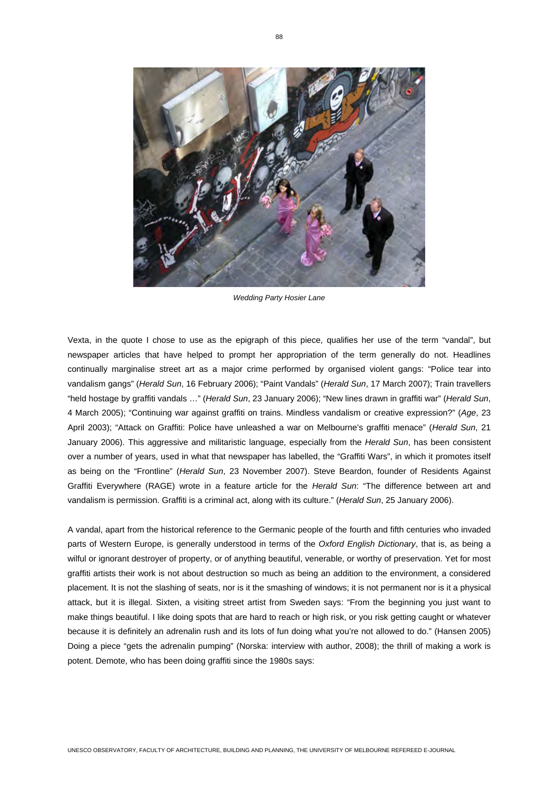

*Wedding Party Hosier Lane* 

Vexta, in the quote I chose to use as the epigraph of this piece, qualifies her use of the term "vandal", but newspaper articles that have helped to prompt her appropriation of the term generally do not. Headlines continually marginalise street art as a major crime performed by organised violent gangs: "Police tear into vandalism gangs" (*Herald Sun*, 16 February 2006); "Paint Vandals" (*Herald Sun*, 17 March 2007); Train travellers "held hostage by graffiti vandals …" (*Herald Sun*, 23 January 2006); "New lines drawn in graffiti war" (*Herald Sun*, 4 March 2005); "Continuing war against graffiti on trains. Mindless vandalism or creative expression?" (*Age*, 23 April 2003); "Attack on Graffiti: Police have unleashed a war on Melbourne's graffiti menace" (*Herald Sun*, 21 January 2006). This aggressive and militaristic language, especially from the *Herald Sun*, has been consistent over a number of years, used in what that newspaper has labelled, the "Graffiti Wars", in which it promotes itself as being on the "Frontline" (*Herald Sun*, 23 November 2007). Steve Beardon, founder of Residents Against Graffiti Everywhere (RAGE) wrote in a feature article for the *Herald Sun*: "The difference between art and vandalism is permission. Graffiti is a criminal act, along with its culture." (*Herald Sun*, 25 January 2006).

A vandal, apart from the historical reference to the Germanic people of the fourth and fifth centuries who invaded parts of Western Europe, is generally understood in terms of the *Oxford English Dictionary*, that is, as being a wilful or ignorant destroyer of property, or of anything beautiful, venerable, or worthy of preservation. Yet for most graffiti artists their work is not about destruction so much as being an addition to the environment, a considered placement. It is not the slashing of seats, nor is it the smashing of windows; it is not permanent nor is it a physical attack, but it is illegal. Sixten, a visiting street artist from Sweden says: "From the beginning you just want to make things beautiful. I like doing spots that are hard to reach or high risk, or you risk getting caught or whatever because it is definitely an adrenalin rush and its lots of fun doing what you're not allowed to do." (Hansen 2005) Doing a piece "gets the adrenalin pumping" (Norska: interview with author, 2008); the thrill of making a work is potent. Demote, who has been doing graffiti since the 1980s says: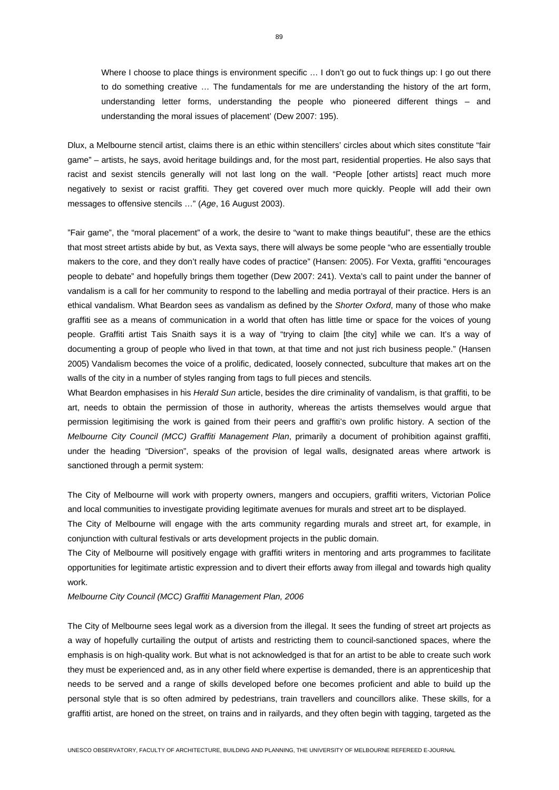Where I choose to place things is environment specific ... I don't go out to fuck things up: I go out there to do something creative … The fundamentals for me are understanding the history of the art form, understanding letter forms, understanding the people who pioneered different things – and understanding the moral issues of placement' (Dew 2007: 195).

Dlux, a Melbourne stencil artist, claims there is an ethic within stencillers' circles about which sites constitute "fair game" – artists, he says, avoid heritage buildings and, for the most part, residential properties. He also says that racist and sexist stencils generally will not last long on the wall. "People [other artists] react much more negatively to sexist or racist graffiti. They get covered over much more quickly. People will add their own messages to offensive stencils …" (*Age*, 16 August 2003).

"Fair game", the "moral placement" of a work, the desire to "want to make things beautiful", these are the ethics that most street artists abide by but, as Vexta says, there will always be some people "who are essentially trouble makers to the core, and they don't really have codes of practice" (Hansen: 2005). For Vexta, graffiti "encourages people to debate" and hopefully brings them together (Dew 2007: 241). Vexta's call to paint under the banner of vandalism is a call for her community to respond to the labelling and media portrayal of their practice. Hers is an ethical vandalism. What Beardon sees as vandalism as defined by the *Shorter Oxford*, many of those who make graffiti see as a means of communication in a world that often has little time or space for the voices of young people. Graffiti artist Tais Snaith says it is a way of "trying to claim [the city] while we can. It's a way of documenting a group of people who lived in that town, at that time and not just rich business people." (Hansen 2005) Vandalism becomes the voice of a prolific, dedicated, loosely connected, subculture that makes art on the walls of the city in a number of styles ranging from tags to full pieces and stencils.

What Beardon emphasises in his *Herald Sun* article, besides the dire criminality of vandalism, is that graffiti, to be art, needs to obtain the permission of those in authority, whereas the artists themselves would argue that permission legitimising the work is gained from their peers and graffiti's own prolific history. A section of the *Melbourne City Council (MCC) Graffiti Management Plan*, primarily a document of prohibition against graffiti, under the heading "Diversion", speaks of the provision of legal walls, designated areas where artwork is sanctioned through a permit system:

The City of Melbourne will work with property owners, mangers and occupiers, graffiti writers, Victorian Police and local communities to investigate providing legitimate avenues for murals and street art to be displayed.

The City of Melbourne will engage with the arts community regarding murals and street art, for example, in conjunction with cultural festivals or arts development projects in the public domain.

The City of Melbourne will positively engage with graffiti writers in mentoring and arts programmes to facilitate opportunities for legitimate artistic expression and to divert their efforts away from illegal and towards high quality work.

*Melbourne City Council (MCC) Graffiti Management Plan, 2006*

The City of Melbourne sees legal work as a diversion from the illegal. It sees the funding of street art projects as a way of hopefully curtailing the output of artists and restricting them to council-sanctioned spaces, where the emphasis is on high-quality work. But what is not acknowledged is that for an artist to be able to create such work they must be experienced and, as in any other field where expertise is demanded, there is an apprenticeship that needs to be served and a range of skills developed before one becomes proficient and able to build up the personal style that is so often admired by pedestrians, train travellers and councillors alike. These skills, for a graffiti artist, are honed on the street, on trains and in railyards, and they often begin with tagging, targeted as the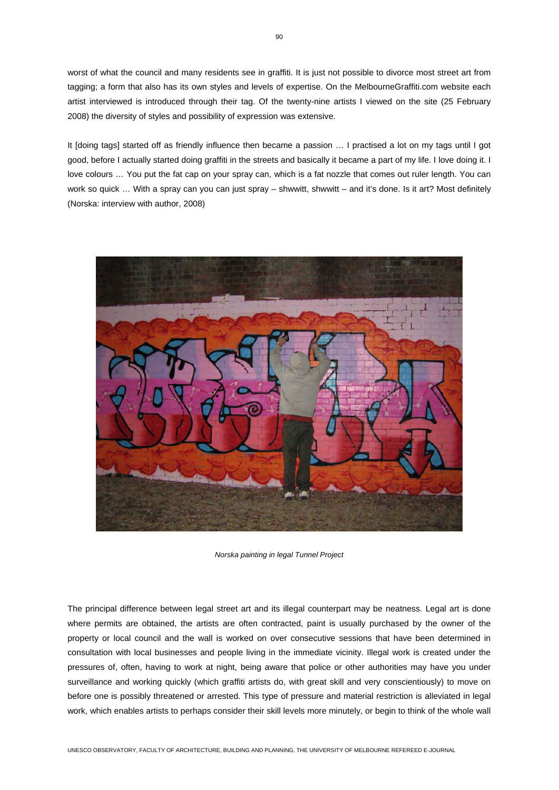worst of what the council and many residents see in graffiti. It is just not possible to divorce most street art from tagging; a form that also has its own styles and levels of expertise. On the MelbourneGraffiti.com website each artist interviewed is introduced through their tag. Of the twenty-nine artists I viewed on the site (25 February 2008) the diversity of styles and possibility of expression was extensive.

It [doing tags] started off as friendly influence then became a passion … I practised a lot on my tags until I got good, before I actually started doing graffiti in the streets and basically it became a part of my life. I love doing it. I love colours ... You put the fat cap on your spray can, which is a fat nozzle that comes out ruler length. You can work so quick ... With a spray can you can just spray – shwwitt, shwwitt – and it's done. Is it art? Most definitely (Norska: interview with author, 2008)



*Norska painting in legal Tunnel Project* 

The principal difference between legal street art and its illegal counterpart may be neatness. Legal art is done where permits are obtained, the artists are often contracted, paint is usually purchased by the owner of the property or local council and the wall is worked on over consecutive sessions that have been determined in consultation with local businesses and people living in the immediate vicinity. Illegal work is created under the pressures of, often, having to work at night, being aware that police or other authorities may have you under surveillance and working quickly (which graffiti artists do, with great skill and very conscientiously) to move on before one is possibly threatened or arrested. This type of pressure and material restriction is alleviated in legal work, which enables artists to perhaps consider their skill levels more minutely, or begin to think of the whole wall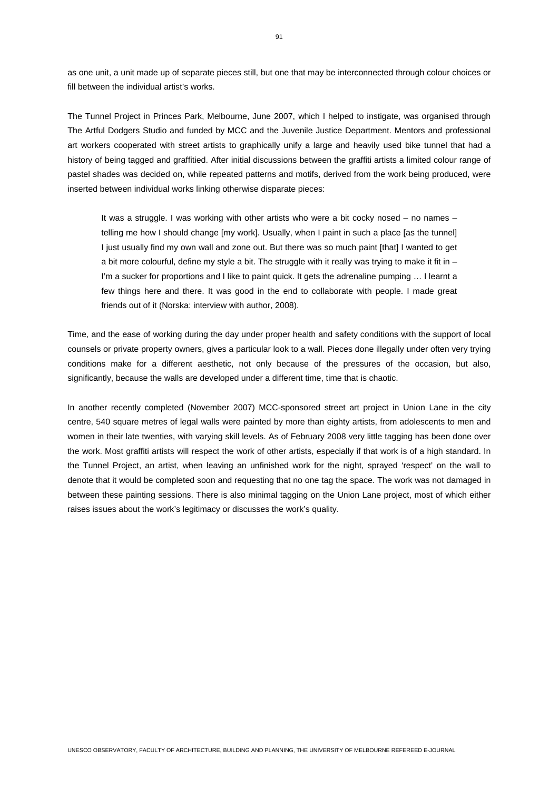as one unit, a unit made up of separate pieces still, but one that may be interconnected through colour choices or fill between the individual artist's works.

The Tunnel Project in Princes Park, Melbourne, June 2007, which I helped to instigate, was organised through The Artful Dodgers Studio and funded by MCC and the Juvenile Justice Department. Mentors and professional art workers cooperated with street artists to graphically unify a large and heavily used bike tunnel that had a history of being tagged and graffitied. After initial discussions between the graffiti artists a limited colour range of pastel shades was decided on, while repeated patterns and motifs, derived from the work being produced, were inserted between individual works linking otherwise disparate pieces:

It was a struggle. I was working with other artists who were a bit cocky nosed – no names – telling me how I should change [my work]. Usually, when I paint in such a place [as the tunnel] I just usually find my own wall and zone out. But there was so much paint [that] I wanted to get a bit more colourful, define my style a bit. The struggle with it really was trying to make it fit in – I'm a sucker for proportions and I like to paint quick. It gets the adrenaline pumping … I learnt a few things here and there. It was good in the end to collaborate with people. I made great friends out of it (Norska: interview with author, 2008).

Time, and the ease of working during the day under proper health and safety conditions with the support of local counsels or private property owners, gives a particular look to a wall. Pieces done illegally under often very trying conditions make for a different aesthetic, not only because of the pressures of the occasion, but also, significantly, because the walls are developed under a different time, time that is chaotic.

In another recently completed (November 2007) MCC-sponsored street art project in Union Lane in the city centre, 540 square metres of legal walls were painted by more than eighty artists, from adolescents to men and women in their late twenties, with varying skill levels. As of February 2008 very little tagging has been done over the work. Most graffiti artists will respect the work of other artists, especially if that work is of a high standard. In the Tunnel Project, an artist, when leaving an unfinished work for the night, sprayed 'respect' on the wall to denote that it would be completed soon and requesting that no one tag the space. The work was not damaged in between these painting sessions. There is also minimal tagging on the Union Lane project, most of which either raises issues about the work's legitimacy or discusses the work's quality.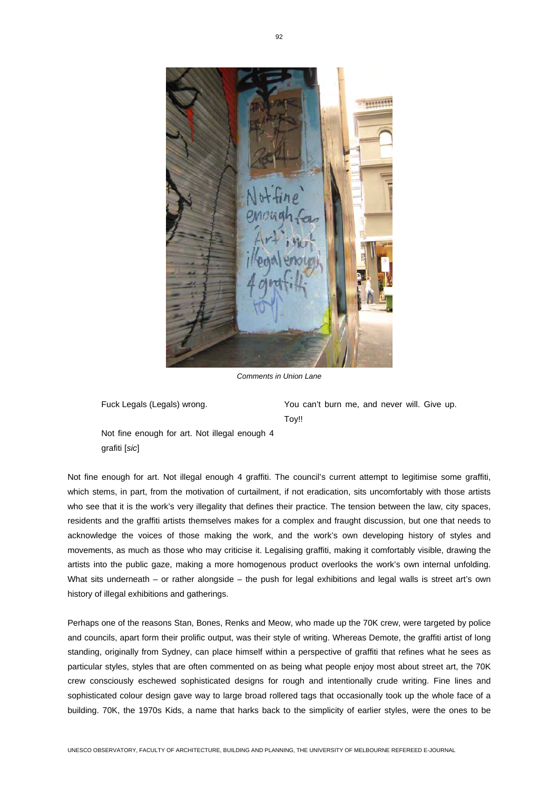

*Comments in Union Lane* 

Fuck Legals (Legals) wrong. You can't burn me, and never will. Give up. Toy!!

Not fine enough for art. Not illegal enough 4 grafiti [*sic*]

Not fine enough for art. Not illegal enough 4 graffiti. The council's current attempt to legitimise some graffiti, which stems, in part, from the motivation of curtailment, if not eradication, sits uncomfortably with those artists who see that it is the work's very illegality that defines their practice. The tension between the law, city spaces, residents and the graffiti artists themselves makes for a complex and fraught discussion, but one that needs to acknowledge the voices of those making the work, and the work's own developing history of styles and movements, as much as those who may criticise it. Legalising graffiti, making it comfortably visible, drawing the artists into the public gaze, making a more homogenous product overlooks the work's own internal unfolding. What sits underneath – or rather alongside – the push for legal exhibitions and legal walls is street art's own history of illegal exhibitions and gatherings.

Perhaps one of the reasons Stan, Bones, Renks and Meow, who made up the 70K crew, were targeted by police and councils, apart form their prolific output, was their style of writing. Whereas Demote, the graffiti artist of long standing, originally from Sydney, can place himself within a perspective of graffiti that refines what he sees as particular styles, styles that are often commented on as being what people enjoy most about street art, the 70K crew consciously eschewed sophisticated designs for rough and intentionally crude writing. Fine lines and sophisticated colour design gave way to large broad rollered tags that occasionally took up the whole face of a building. 70K, the 1970s Kids, a name that harks back to the simplicity of earlier styles, were the ones to be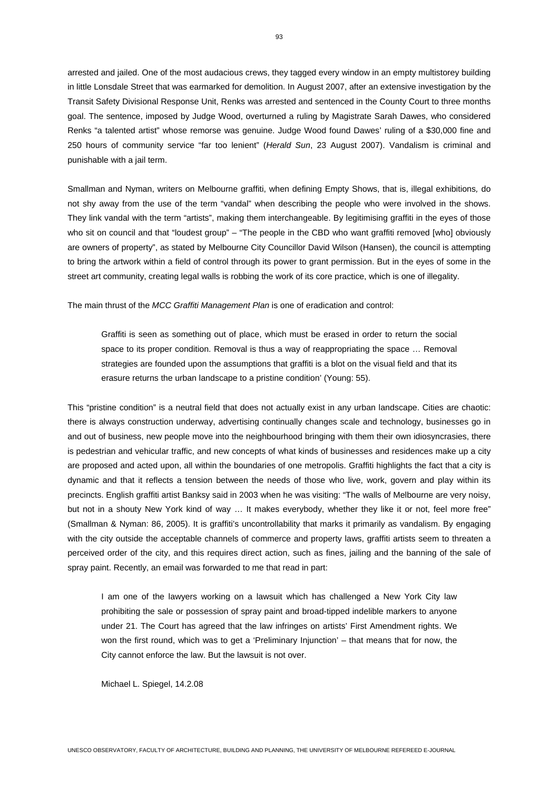arrested and jailed. One of the most audacious crews, they tagged every window in an empty multistorey building in little Lonsdale Street that was earmarked for demolition. In August 2007, after an extensive investigation by the Transit Safety Divisional Response Unit, Renks was arrested and sentenced in the County Court to three months goal. The sentence, imposed by Judge Wood, overturned a ruling by Magistrate Sarah Dawes, who considered Renks "a talented artist" whose remorse was genuine. Judge Wood found Dawes' ruling of a \$30,000 fine and 250 hours of community service "far too lenient" (*Herald Sun*, 23 August 2007). Vandalism is criminal and punishable with a jail term.

Smallman and Nyman, writers on Melbourne graffiti, when defining Empty Shows, that is, illegal exhibitions*,* do not shy away from the use of the term "vandal" when describing the people who were involved in the shows. They link vandal with the term "artists", making them interchangeable. By legitimising graffiti in the eyes of those who sit on council and that "loudest group" – "The people in the CBD who want graffiti removed [who] obviously are owners of property", as stated by Melbourne City Councillor David Wilson (Hansen), the council is attempting to bring the artwork within a field of control through its power to grant permission. But in the eyes of some in the street art community, creating legal walls is robbing the work of its core practice, which is one of illegality.

The main thrust of the *MCC Graffiti Management Plan* is one of eradication and control:

Graffiti is seen as something out of place, which must be erased in order to return the social space to its proper condition. Removal is thus a way of reappropriating the space ... Removal strategies are founded upon the assumptions that graffiti is a blot on the visual field and that its erasure returns the urban landscape to a pristine condition' (Young: 55).

This "pristine condition" is a neutral field that does not actually exist in any urban landscape. Cities are chaotic: there is always construction underway, advertising continually changes scale and technology, businesses go in and out of business, new people move into the neighbourhood bringing with them their own idiosyncrasies, there is pedestrian and vehicular traffic, and new concepts of what kinds of businesses and residences make up a city are proposed and acted upon, all within the boundaries of one metropolis. Graffiti highlights the fact that a city is dynamic and that it reflects a tension between the needs of those who live, work, govern and play within its precincts. English graffiti artist Banksy said in 2003 when he was visiting: "The walls of Melbourne are very noisy, but not in a shouty New York kind of way ... It makes everybody, whether they like it or not, feel more free" (Smallman & Nyman: 86, 2005). It is graffiti's uncontrollability that marks it primarily as vandalism. By engaging with the city outside the acceptable channels of commerce and property laws, graffiti artists seem to threaten a perceived order of the city, and this requires direct action, such as fines, jailing and the banning of the sale of spray paint. Recently, an email was forwarded to me that read in part:

I am one of the lawyers working on a lawsuit which has challenged a New York City law prohibiting the sale or possession of spray paint and broad-tipped indelible markers to anyone under 21. The Court has agreed that the law infringes on artists' First Amendment rights. We won the first round, which was to get a 'Preliminary Injunction' – that means that for now, the City cannot enforce the law. But the lawsuit is not over.

Michael L. Spiegel, 14.2.08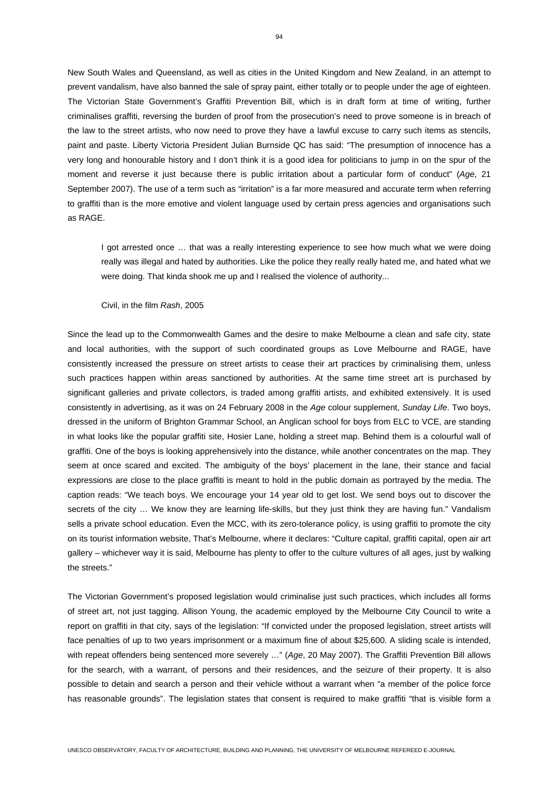New South Wales and Queensland, as well as cities in the United Kingdom and New Zealand, in an attempt to prevent vandalism, have also banned the sale of spray paint, either totally or to people under the age of eighteen. The Victorian State Government's Graffiti Prevention Bill, which is in draft form at time of writing, further criminalises graffiti, reversing the burden of proof from the prosecution's need to prove someone is in breach of the law to the street artists, who now need to prove they have a lawful excuse to carry such items as stencils, paint and paste. Liberty Victoria President Julian Burnside QC has said: "The presumption of innocence has a very long and honourable history and I don't think it is a good idea for politicians to jump in on the spur of the moment and reverse it just because there is public irritation about a particular form of conduct" (*Age*, 21 September 2007). The use of a term such as "irritation" is a far more measured and accurate term when referring to graffiti than is the more emotive and violent language used by certain press agencies and organisations such as RAGE.

I got arrested once … that was a really interesting experience to see how much what we were doing really was illegal and hated by authorities. Like the police they really really hated me, and hated what we were doing. That kinda shook me up and I realised the violence of authority...

Civil, in the film *Rash*, 2005

Since the lead up to the Commonwealth Games and the desire to make Melbourne a clean and safe city, state and local authorities, with the support of such coordinated groups as Love Melbourne and RAGE, have consistently increased the pressure on street artists to cease their art practices by criminalising them, unless such practices happen within areas sanctioned by authorities. At the same time street art is purchased by significant galleries and private collectors, is traded among graffiti artists, and exhibited extensively. It is used consistently in advertising, as it was on 24 February 2008 in the *Age* colour supplement, *Sunday Life*. Two boys, dressed in the uniform of Brighton Grammar School, an Anglican school for boys from ELC to VCE, are standing in what looks like the popular graffiti site, Hosier Lane, holding a street map. Behind them is a colourful wall of graffiti. One of the boys is looking apprehensively into the distance, while another concentrates on the map. They seem at once scared and excited. The ambiguity of the boys' placement in the lane, their stance and facial expressions are close to the place graffiti is meant to hold in the public domain as portrayed by the media. The caption reads: "We teach boys. We encourage your 14 year old to get lost. We send boys out to discover the secrets of the city ... We know they are learning life-skills, but they just think they are having fun." Vandalism sells a private school education. Even the MCC, with its zero-tolerance policy, is using graffiti to promote the city on its tourist information website, That's Melbourne, where it declares: "Culture capital, graffiti capital, open air art gallery – whichever way it is said, Melbourne has plenty to offer to the culture vultures of all ages, just by walking the streets."

The Victorian Government's proposed legislation would criminalise just such practices, which includes all forms of street art, not just tagging. Allison Young, the academic employed by the Melbourne City Council to write a report on graffiti in that city, says of the legislation: "If convicted under the proposed legislation, street artists will face penalties of up to two years imprisonment or a maximum fine of about \$25,600. A sliding scale is intended, with repeat offenders being sentenced more severely …" (*Age*, 20 May 2007). The Graffiti Prevention Bill allows for the search, with a warrant, of persons and their residences, and the seizure of their property. It is also possible to detain and search a person and their vehicle without a warrant when "a member of the police force has reasonable grounds". The legislation states that consent is required to make graffiti "that is visible form a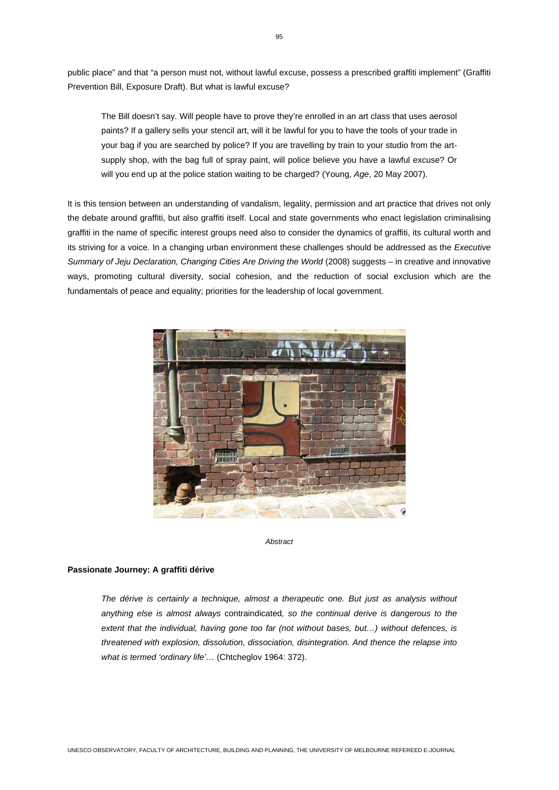public place" and that "a person must not, without lawful excuse, possess a prescribed graffiti implement" (Graffiti Prevention Bill, Exposure Draft). But what is lawful excuse?

The Bill doesn't say. Will people have to prove they're enrolled in an art class that uses aerosol paints? If a gallery sells your stencil art, will it be lawful for you to have the tools of your trade in your bag if you are searched by police? If you are travelling by train to your studio from the artsupply shop, with the bag full of spray paint, will police believe you have a lawful excuse? Or will you end up at the police station waiting to be charged? (Young, *Age*, 20 May 2007).

It is this tension between an understanding of vandalism, legality, permission and art practice that drives not only the debate around graffiti, but also graffiti itself. Local and state governments who enact legislation criminalising graffiti in the name of specific interest groups need also to consider the dynamics of graffiti, its cultural worth and its striving for a voice. In a changing urban environment these challenges should be addressed as the *Executive Summary of Jeju Declaration, Changing Cities Are Driving the World* (2008) suggests – in creative and innovative ways, promoting cultural diversity, social cohesion, and the reduction of social exclusion which are the fundamentals of peace and equality; priorities for the leadership of local government.



*Abstract* 

## **Passionate Journey: A graffiti dérive**

*The dérive is certainly a technique, almost a therapeutic one. But just as analysis without anything else is almost always* contraindicated*, so the continual derive is dangerous to the extent that the individual, having gone too far (not without bases, but…) without defences, is threatened with explosion, dissolution, dissociation, disintegration. And thence the relapse into what is termed 'ordinary life'…* (Chtcheglov 1964: 372).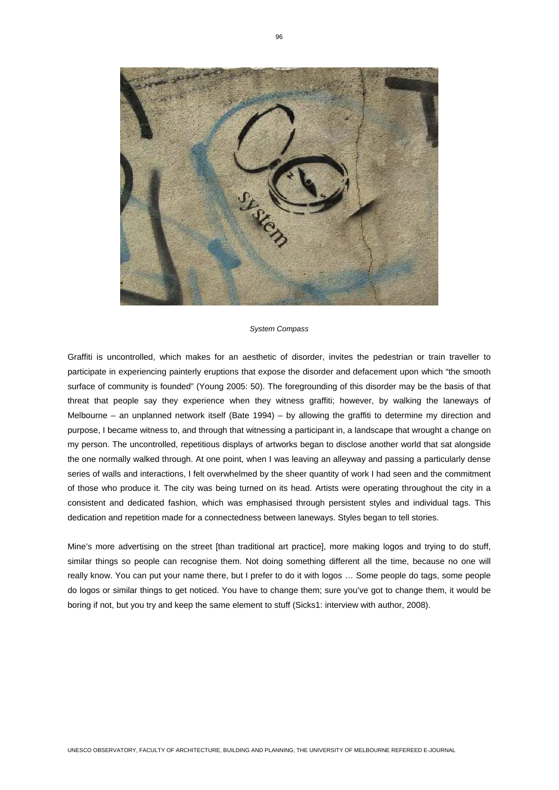

#### *System Compass*

Graffiti is uncontrolled, which makes for an aesthetic of disorder, invites the pedestrian or train traveller to participate in experiencing painterly eruptions that expose the disorder and defacement upon which "the smooth surface of community is founded" (Young 2005: 50). The foregrounding of this disorder may be the basis of that threat that people say they experience when they witness graffiti; however, by walking the laneways of Melbourne – an unplanned network itself (Bate 1994) – by allowing the graffiti to determine my direction and purpose, I became witness to, and through that witnessing a participant in, a landscape that wrought a change on my person. The uncontrolled, repetitious displays of artworks began to disclose another world that sat alongside the one normally walked through. At one point, when I was leaving an alleyway and passing a particularly dense series of walls and interactions, I felt overwhelmed by the sheer quantity of work I had seen and the commitment of those who produce it. The city was being turned on its head. Artists were operating throughout the city in a consistent and dedicated fashion, which was emphasised through persistent styles and individual tags. This dedication and repetition made for a connectedness between laneways. Styles began to tell stories.

Mine's more advertising on the street [than traditional art practice], more making logos and trying to do stuff, similar things so people can recognise them. Not doing something different all the time, because no one will really know. You can put your name there, but I prefer to do it with logos … Some people do tags, some people do logos or similar things to get noticed. You have to change them; sure you've got to change them, it would be boring if not, but you try and keep the same element to stuff (Sicks1: interview with author, 2008).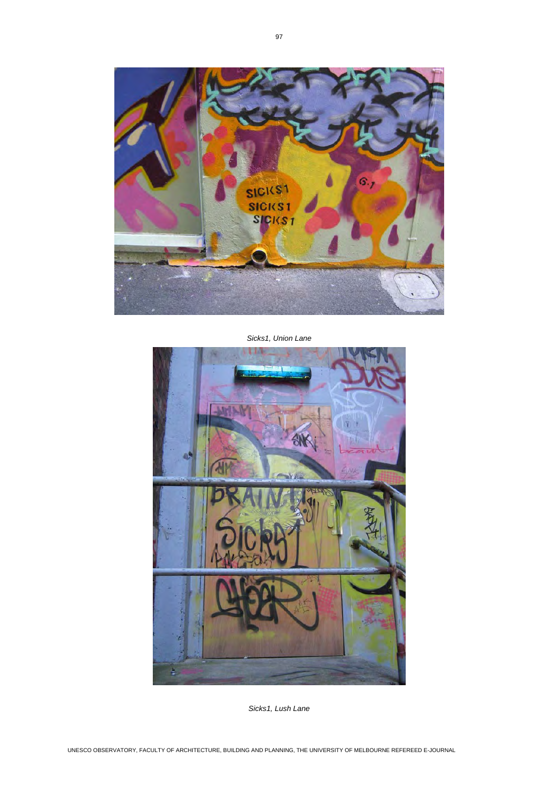

*Sicks1, Union Lane* 



*Sicks1, Lush Lane*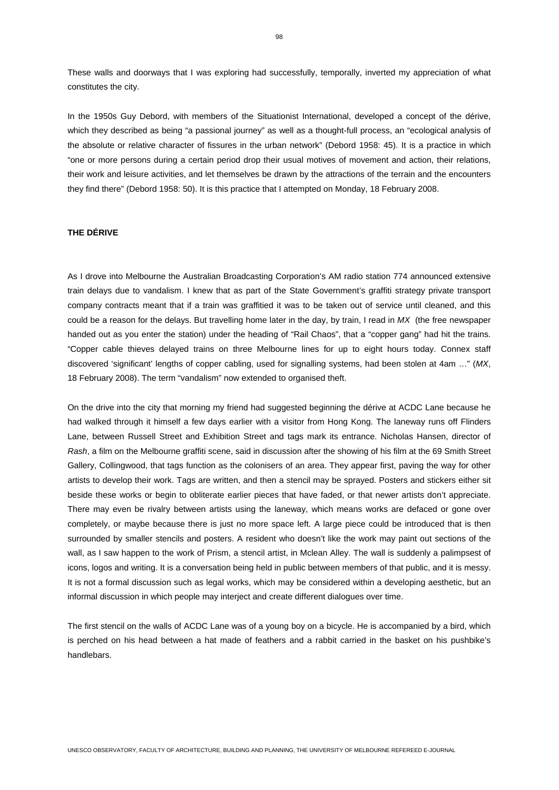These walls and doorways that I was exploring had successfully, temporally, inverted my appreciation of what constitutes the city.

In the 1950s Guy Debord, with members of the Situationist International, developed a concept of the dérive, which they described as being "a passional journey" as well as a thought-full process, an "ecological analysis of the absolute or relative character of fissures in the urban network" (Debord 1958: 45). It is a practice in which "one or more persons during a certain period drop their usual motives of movement and action, their relations, their work and leisure activities, and let themselves be drawn by the attractions of the terrain and the encounters they find there" (Debord 1958: 50). It is this practice that I attempted on Monday, 18 February 2008.

# **THE DÉRIVE**

As I drove into Melbourne the Australian Broadcasting Corporation's AM radio station 774 announced extensive train delays due to vandalism. I knew that as part of the State Government's graffiti strategy private transport company contracts meant that if a train was graffitied it was to be taken out of service until cleaned, and this could be a reason for the delays. But travelling home later in the day, by train, I read in *MX* (the free newspaper handed out as you enter the station) under the heading of "Rail Chaos", that a "copper gang" had hit the trains. "Copper cable thieves delayed trains on three Melbourne lines for up to eight hours today. Connex staff discovered 'significant' lengths of copper cabling, used for signalling systems, had been stolen at 4am …" (*MX*, 18 February 2008). The term "vandalism" now extended to organised theft.

On the drive into the city that morning my friend had suggested beginning the dérive at ACDC Lane because he had walked through it himself a few days earlier with a visitor from Hong Kong. The laneway runs off Flinders Lane, between Russell Street and Exhibition Street and tags mark its entrance. Nicholas Hansen, director of *Rash*, a film on the Melbourne graffiti scene, said in discussion after the showing of his film at the 69 Smith Street Gallery, Collingwood, that tags function as the colonisers of an area. They appear first, paving the way for other artists to develop their work. Tags are written, and then a stencil may be sprayed. Posters and stickers either sit beside these works or begin to obliterate earlier pieces that have faded, or that newer artists don't appreciate. There may even be rivalry between artists using the laneway, which means works are defaced or gone over completely, or maybe because there is just no more space left. A large piece could be introduced that is then surrounded by smaller stencils and posters. A resident who doesn't like the work may paint out sections of the wall, as I saw happen to the work of Prism, a stencil artist, in Mclean Alley. The wall is suddenly a palimpsest of icons, logos and writing. It is a conversation being held in public between members of that public, and it is messy. It is not a formal discussion such as legal works, which may be considered within a developing aesthetic, but an informal discussion in which people may interject and create different dialogues over time.

The first stencil on the walls of ACDC Lane was of a young boy on a bicycle. He is accompanied by a bird, which is perched on his head between a hat made of feathers and a rabbit carried in the basket on his pushbike's handlebars.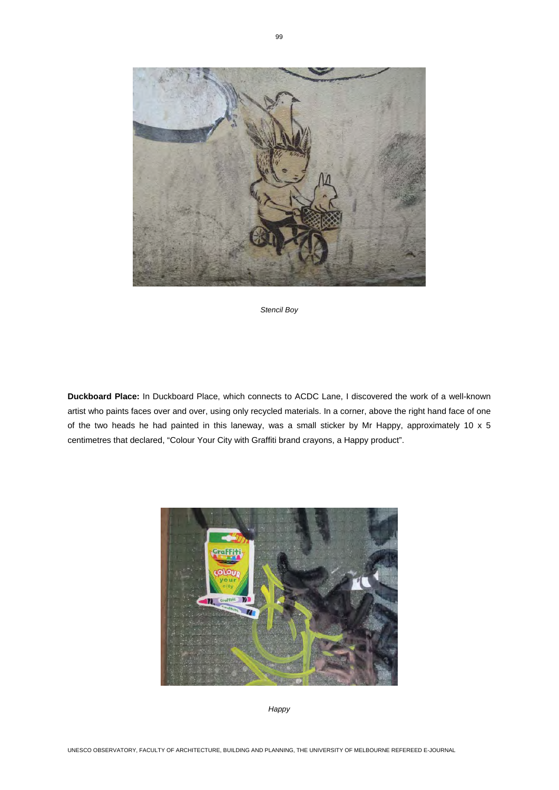

*Stencil Boy* 

**Duckboard Place:** In Duckboard Place, which connects to ACDC Lane, I discovered the work of a well-known artist who paints faces over and over, using only recycled materials. In a corner, above the right hand face of one of the two heads he had painted in this laneway, was a small sticker by Mr Happy, approximately 10 x 5 centimetres that declared, "Colour Your City with Graffiti brand crayons, a Happy product".



*Happy*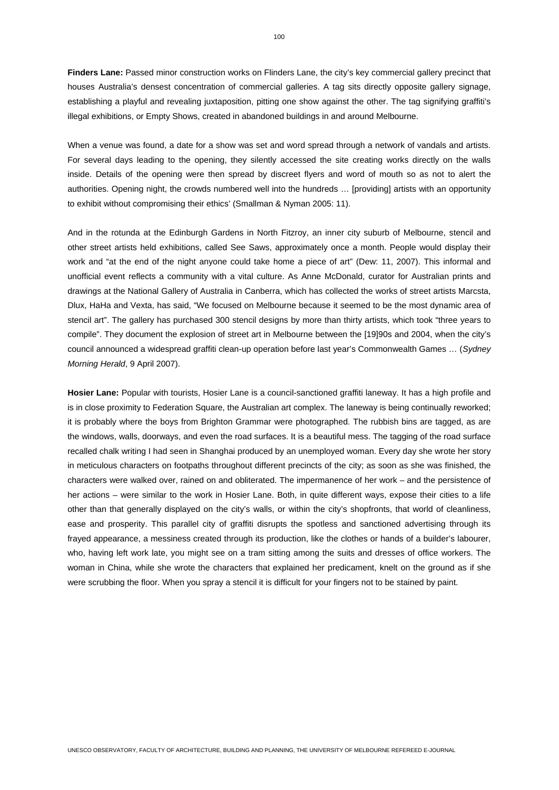**Finders Lane:** Passed minor construction works on Flinders Lane, the city's key commercial gallery precinct that houses Australia's densest concentration of commercial galleries. A tag sits directly opposite gallery signage, establishing a playful and revealing juxtaposition, pitting one show against the other. The tag signifying graffiti's illegal exhibitions, or Empty Shows, created in abandoned buildings in and around Melbourne.

When a venue was found, a date for a show was set and word spread through a network of vandals and artists. For several days leading to the opening, they silently accessed the site creating works directly on the walls inside. Details of the opening were then spread by discreet flyers and word of mouth so as not to alert the authorities. Opening night, the crowds numbered well into the hundreds … [providing] artists with an opportunity to exhibit without compromising their ethics' (Smallman & Nyman 2005: 11).

And in the rotunda at the Edinburgh Gardens in North Fitzroy, an inner city suburb of Melbourne, stencil and other street artists held exhibitions, called See Saws, approximately once a month. People would display their work and "at the end of the night anyone could take home a piece of art" (Dew: 11, 2007). This informal and unofficial event reflects a community with a vital culture. As Anne McDonald, curator for Australian prints and drawings at the National Gallery of Australia in Canberra, which has collected the works of street artists Marcsta, Dlux, HaHa and Vexta, has said, "We focused on Melbourne because it seemed to be the most dynamic area of stencil art". The gallery has purchased 300 stencil designs by more than thirty artists, which took "three years to compile". They document the explosion of street art in Melbourne between the [19]90s and 2004, when the city's council announced a widespread graffiti clean-up operation before last year's Commonwealth Games … (*Sydney Morning Herald*, 9 April 2007).

**Hosier Lane:** Popular with tourists, Hosier Lane is a council-sanctioned graffiti laneway. It has a high profile and is in close proximity to Federation Square, the Australian art complex. The laneway is being continually reworked; it is probably where the boys from Brighton Grammar were photographed. The rubbish bins are tagged, as are the windows, walls, doorways, and even the road surfaces. It is a beautiful mess. The tagging of the road surface recalled chalk writing I had seen in Shanghai produced by an unemployed woman. Every day she wrote her story in meticulous characters on footpaths throughout different precincts of the city; as soon as she was finished, the characters were walked over, rained on and obliterated. The impermanence of her work – and the persistence of her actions – were similar to the work in Hosier Lane. Both, in quite different ways, expose their cities to a life other than that generally displayed on the city's walls, or within the city's shopfronts, that world of cleanliness, ease and prosperity. This parallel city of graffiti disrupts the spotless and sanctioned advertising through its frayed appearance, a messiness created through its production, like the clothes or hands of a builder's labourer, who, having left work late, you might see on a tram sitting among the suits and dresses of office workers. The woman in China, while she wrote the characters that explained her predicament, knelt on the ground as if she were scrubbing the floor. When you spray a stencil it is difficult for your fingers not to be stained by paint.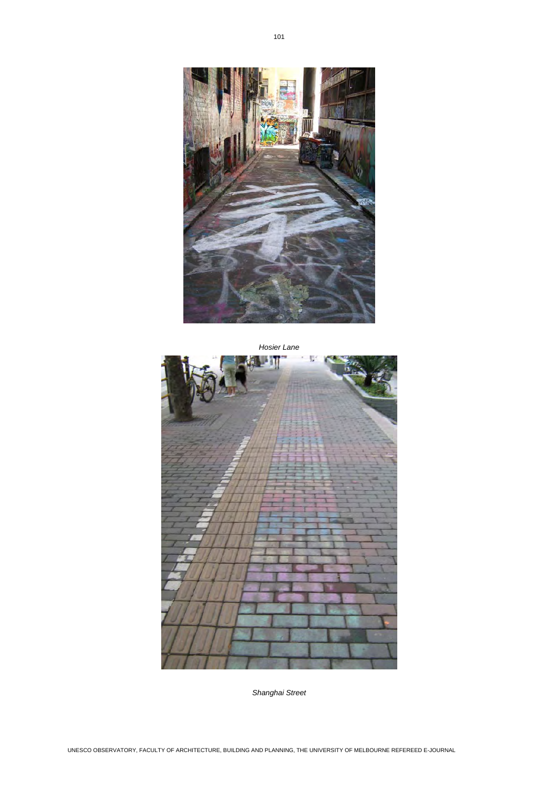

*Hosier Lane*  U

*Shanghai Street*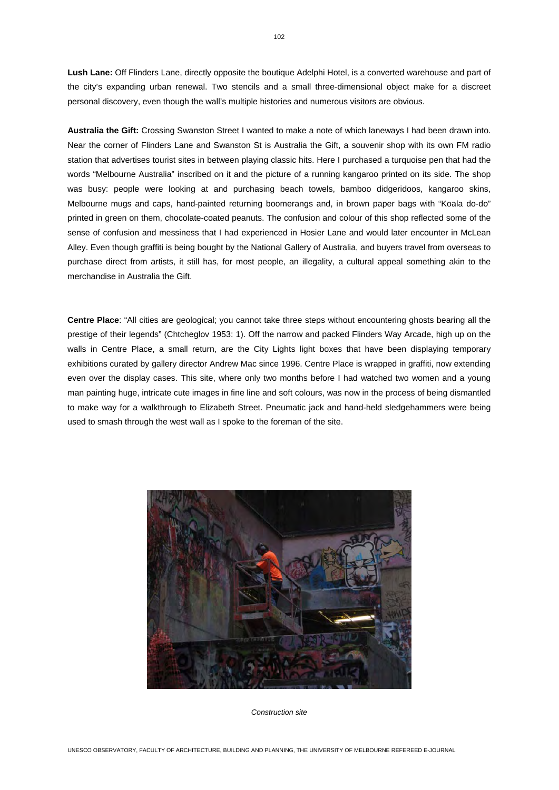**Lush Lane:** Off Flinders Lane, directly opposite the boutique Adelphi Hotel, is a converted warehouse and part of the city's expanding urban renewal. Two stencils and a small three-dimensional object make for a discreet personal discovery, even though the wall's multiple histories and numerous visitors are obvious.

**Australia the Gift:** Crossing Swanston Street I wanted to make a note of which laneways I had been drawn into. Near the corner of Flinders Lane and Swanston St is Australia the Gift, a souvenir shop with its own FM radio station that advertises tourist sites in between playing classic hits. Here I purchased a turquoise pen that had the words "Melbourne Australia" inscribed on it and the picture of a running kangaroo printed on its side. The shop was busy: people were looking at and purchasing beach towels, bamboo didgeridoos, kangaroo skins, Melbourne mugs and caps, hand-painted returning boomerangs and, in brown paper bags with "Koala do-do" printed in green on them, chocolate-coated peanuts. The confusion and colour of this shop reflected some of the sense of confusion and messiness that I had experienced in Hosier Lane and would later encounter in McLean Alley. Even though graffiti is being bought by the National Gallery of Australia, and buyers travel from overseas to purchase direct from artists, it still has, for most people, an illegality, a cultural appeal something akin to the merchandise in Australia the Gift.

**Centre Place**: "All cities are geological; you cannot take three steps without encountering ghosts bearing all the prestige of their legends" (Chtcheglov 1953: 1). Off the narrow and packed Flinders Way Arcade, high up on the walls in Centre Place, a small return, are the City Lights light boxes that have been displaying temporary exhibitions curated by gallery director Andrew Mac since 1996. Centre Place is wrapped in graffiti, now extending even over the display cases. This site, where only two months before I had watched two women and a young man painting huge, intricate cute images in fine line and soft colours, was now in the process of being dismantled to make way for a walkthrough to Elizabeth Street. Pneumatic jack and hand-held sledgehammers were being used to smash through the west wall as I spoke to the foreman of the site.



*Construction site*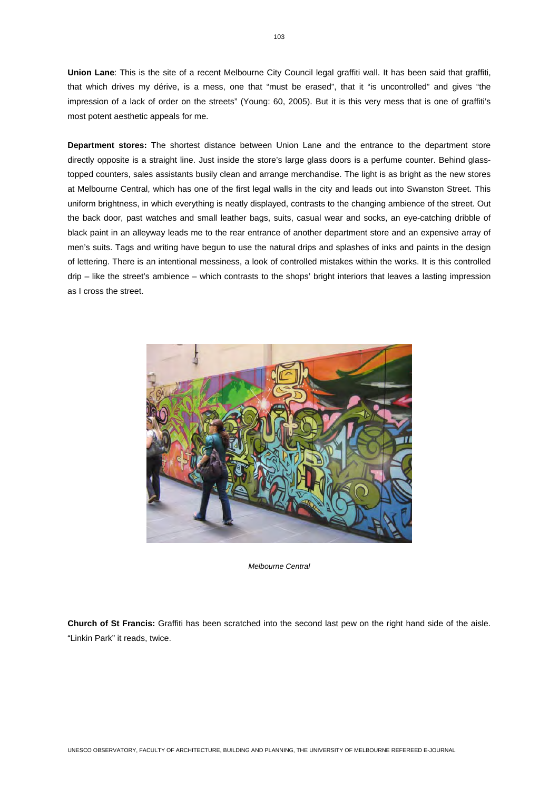**Union Lane**: This is the site of a recent Melbourne City Council legal graffiti wall. It has been said that graffiti, that which drives my dérive, is a mess, one that "must be erased", that it "is uncontrolled" and gives "the impression of a lack of order on the streets" (Young: 60, 2005). But it is this very mess that is one of graffiti's most potent aesthetic appeals for me.

**Department stores:** The shortest distance between Union Lane and the entrance to the department store directly opposite is a straight line. Just inside the store's large glass doors is a perfume counter. Behind glasstopped counters, sales assistants busily clean and arrange merchandise. The light is as bright as the new stores at Melbourne Central, which has one of the first legal walls in the city and leads out into Swanston Street. This uniform brightness, in which everything is neatly displayed, contrasts to the changing ambience of the street. Out the back door, past watches and small leather bags, suits, casual wear and socks, an eye-catching dribble of black paint in an alleyway leads me to the rear entrance of another department store and an expensive array of men's suits. Tags and writing have begun to use the natural drips and splashes of inks and paints in the design of lettering. There is an intentional messiness, a look of controlled mistakes within the works. It is this controlled drip – like the street's ambience – which contrasts to the shops' bright interiors that leaves a lasting impression as I cross the street.



*Melbourne Central* 

**Church of St Francis:** Graffiti has been scratched into the second last pew on the right hand side of the aisle. "Linkin Park" it reads, twice.

103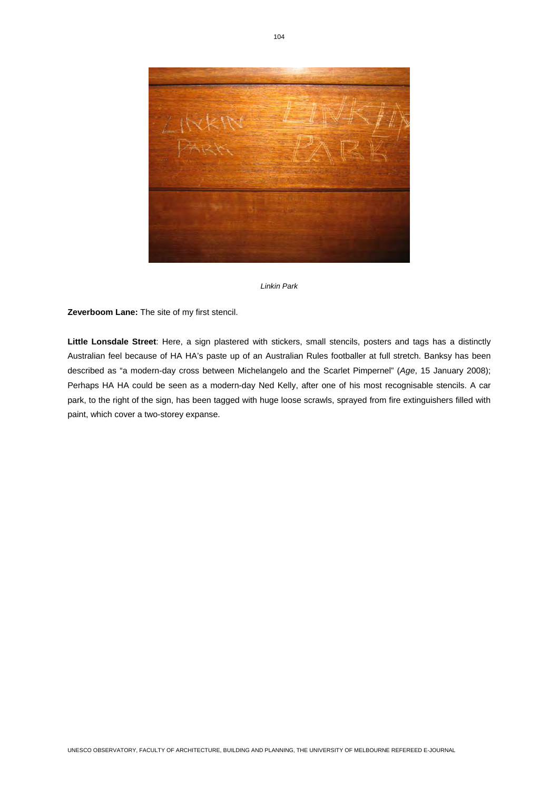



**Zeverboom Lane:** The site of my first stencil.

**Little Lonsdale Street**: Here, a sign plastered with stickers, small stencils, posters and tags has a distinctly Australian feel because of HA HA's paste up of an Australian Rules footballer at full stretch. Banksy has been described as "a modern-day cross between Michelangelo and the Scarlet Pimpernel" (*Age*, 15 January 2008); Perhaps HA HA could be seen as a modern-day Ned Kelly, after one of his most recognisable stencils. A car park, to the right of the sign, has been tagged with huge loose scrawls, sprayed from fire extinguishers filled with paint, which cover a two-storey expanse.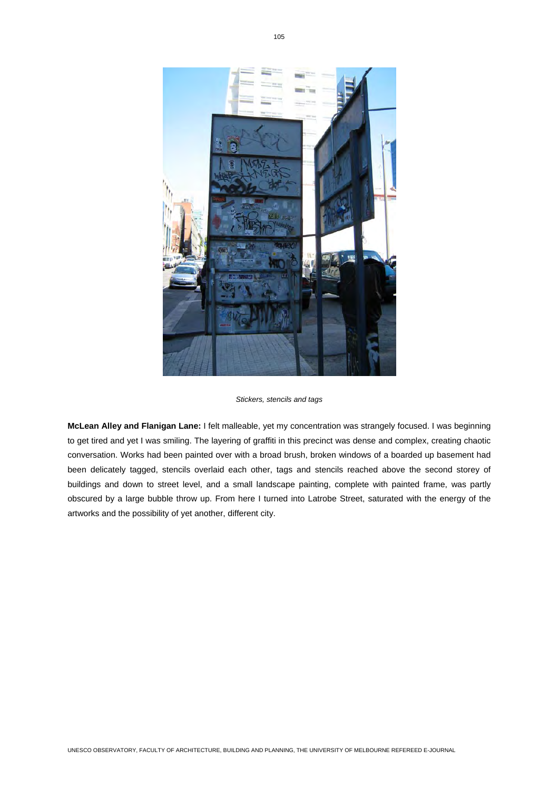

*Stickers, stencils and tags* 

**McLean Alley and Flanigan Lane:** I felt malleable, yet my concentration was strangely focused. I was beginning to get tired and yet I was smiling. The layering of graffiti in this precinct was dense and complex, creating chaotic conversation. Works had been painted over with a broad brush, broken windows of a boarded up basement had been delicately tagged, stencils overlaid each other, tags and stencils reached above the second storey of buildings and down to street level, and a small landscape painting, complete with painted frame, was partly obscured by a large bubble throw up. From here I turned into Latrobe Street, saturated with the energy of the artworks and the possibility of yet another, different city.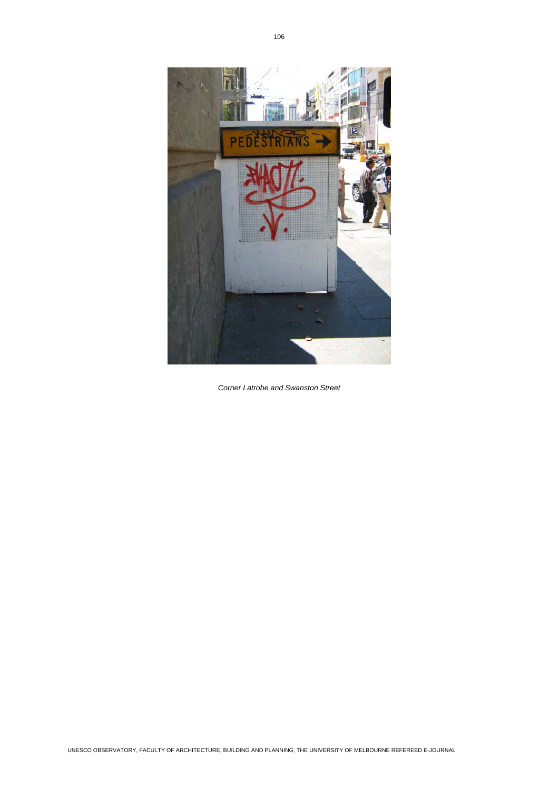

*Corner Latrobe and Swanston Street*